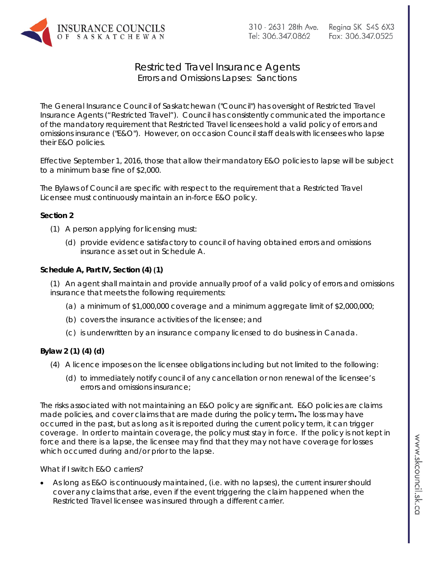

# Restricted Travel Insurance Agents Errors and Omissions Lapses: Sanctions

The General Insurance Council of Saskatchewan ("Council") has oversight of Restricted Travel Insurance Agents ("Restricted Travel"). Council has consistently communicated the importance of the mandatory requirement that Restricted Travel licensees hold a valid policy of errors and omissions insurance ("E&O"). However, on occasion Council staff deals with licensees who lapse their E&O policies.

Effective September 1, 2016, those that allow their mandatory E&O policies to lapse will be subject to a minimum base fine of \$2,000.

The Bylaws of Council are specific with respect to the requirement that a Restricted Travel Licensee must continuously maintain an in-force E&O policy.

#### **Section 2**

- (1) A person applying for licensing must:
	- (d) provide evidence satisfactory to council of having obtained errors and omissions insurance as set out in Schedule A.

## **Schedule A, Part IV, Section (4) (1)**

(1) An agent shall maintain and provide annually proof of a valid policy of errors and omissions insurance that meets the following requirements:

- (a) a minimum of \$1,000,000 coverage and a minimum aggregate limit of \$2,000,000;
- (b) covers the insurance activities of the licensee; and
- (c) is underwritten by an insurance company licensed to do business in Canada.

## **Bylaw 2 (1) (4) (d)**

- (4) A licence imposes on the licensee obligations including but not limited to the following:
	- (d) to immediately notify council of any cancellation or non renewal of the licensee's errors and omissions insurance;

The risks associated with not maintaining an E&O policy are significant. E&O policies are claims made policies, and cover claims that are made during the policy term**.** The loss may have occurred in the past, but as long as it is reported during the current policy term, it can trigger coverage. In order to maintain coverage, the policy must stay in force. If the policy is not kept in force and there is a lapse, the licensee may find that they may not have coverage for losses which occurred during and/or prior to the lapse.

#### *What if I switch E&O carriers?*

• As long as E&O is continuously maintained, (i.e. with no lapses), the current insurer should cover any claims that arise, even if the event triggering the claim happened when the Restricted Travel licensee was insured through a different carrier.